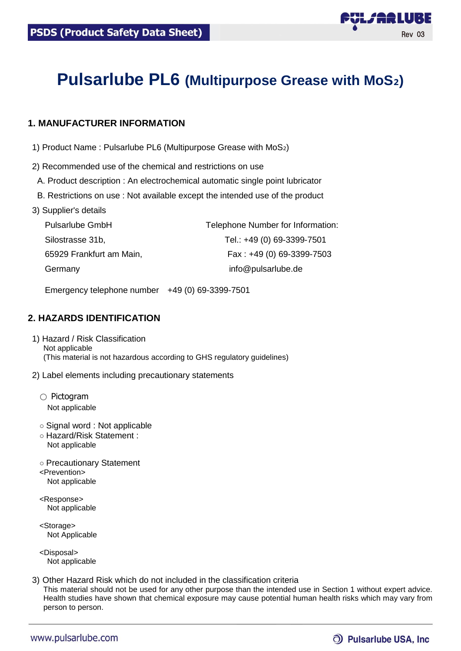

Rev 03

L*J* AR LUBE

# **Pulsarlube PL6 (Multipurpose Grease with MoS**₂**)**

# **1. MANUFACTURER INFORMATION**

- 1) Product Name : Pulsarlube PL6 (Multipurpose Grease with MoS₂)
- 2) Recommended use of the chemical and restrictions on use
- A. Product description : An electrochemical automatic single point lubricator
- B. Restrictions on use : Not available except the intended use of the product
- 3) Supplier's details

| <b>Pulsarlube GmbH</b>   | Telephone Number for Information: |
|--------------------------|-----------------------------------|
| Silostrasse 31b,         | Tel.: +49 (0) 69-3399-7501        |
| 65929 Frankfurt am Main, | Fax: $+49(0)$ 69-3399-7503        |
| Germany                  | info@pulsarlube.de                |

Emergency telephone number +49 (0) 69-3399-7501

# **2. HAZARDS IDENTIFICATION**

- 1) Hazard / Risk Classification Not applicable (This material is not hazardous according to GHS regulatory guidelines)
- 2) Label elements including precautionary statements
	- Pictogram Not applicable
	- Signal word : Not applicable
	- Hazard/Risk Statement : Not applicable
	- Precautionary Statement <Prevention> Not applicable
	- <Response> Not applicable
	- <Storage> Not Applicable

<Disposal> Not applicable

3) Other Hazard Risk which do not included in the classification criteria This material should not be used for any other purpose than the intended use in Section 1 without expert advice. Health studies have shown that chemical exposure may cause potential human health risks which may vary from person to person.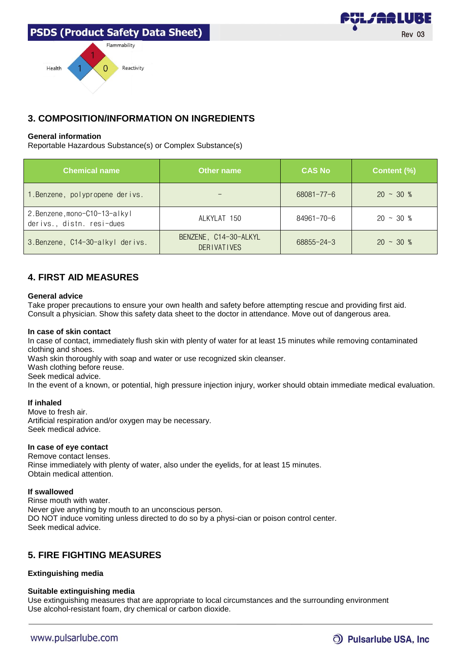

### **General information**

Reportable Hazardous Substance(s) or Complex Substance(s)

| <b>Chemical name</b>                                      | Other name                                  | <b>CAS No</b>    | Content (%)     |
|-----------------------------------------------------------|---------------------------------------------|------------------|-----------------|
| 1. Benzene, polypropene derivs.                           |                                             | $68081 - 77 - 6$ | $20 \sim 30 \%$ |
| 2.Benzene, mono-C10-13-alkyl<br>derivs., distn. resi-dues | ALKYLAT 150                                 | 84961-70-6       | $20 \sim 30 \%$ |
| 3. Benzene, C14-30-alkyl derivs.                          | BENZENE, C14-30-ALKYL<br><b>DERIVATIVES</b> | $68855 - 24 - 3$ | $20 \sim 30 \%$ |

# **4. FIRST AID MEASURES**

#### **General advice**

Take proper precautions to ensure your own health and safety before attempting rescue and providing first aid. Consult a physician. Show this safety data sheet to the doctor in attendance. Move out of dangerous area.

#### **In case of skin contact**

In case of contact, immediately flush skin with plenty of water for at least 15 minutes while removing contaminated clothing and shoes.

Wash skin thoroughly with soap and water or use recognized skin cleanser.

Wash clothing before reuse.

Seek medical advice.

In the event of a known, or potential, high pressure injection injury, worker should obtain immediate medical evaluation.

#### **If inhaled**

Move to fresh air. Artificial respiration and/or oxygen may be necessary. Seek medical advice.

### **In case of eye contact**

Remove contact lenses. Rinse immediately with plenty of water, also under the eyelids, for at least 15 minutes. Obtain medical attention.

### **If swallowed**

Rinse mouth with water. Never give anything by mouth to an unconscious person. DO NOT induce vomiting unless directed to do so by a physi-cian or poison control center. Seek medical advice.

# **5. FIRE FIGHTING MEASURES**

### **Extinguishing media**

### **Suitable extinguishing media**

Use extinguishing measures that are appropriate to local circumstances and the surrounding environment Use alcohol-resistant foam, dry chemical or carbon dioxide.

# O Pulsarlube USA, Inc.

Rev 03

L*j* A2 LUBE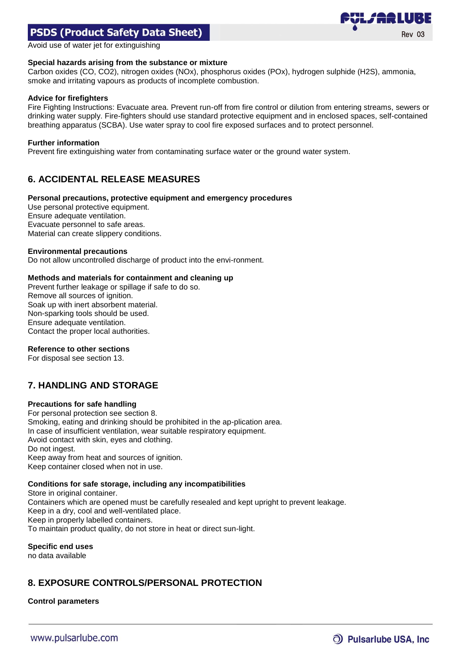

Avoid use of water jet for extinguishing

#### **Special hazards arising from the substance or mixture**

Carbon oxides (CO, CO2), nitrogen oxides (NOx), phosphorus oxides (POx), hydrogen sulphide (H2S), ammonia, smoke and irritating vapours as products of incomplete combustion.

#### **Advice for firefighters**

Fire Fighting Instructions: Evacuate area. Prevent run-off from fire control or dilution from entering streams, sewers or drinking water supply. Fire-fighters should use standard protective equipment and in enclosed spaces, self-contained breathing apparatus (SCBA). Use water spray to cool fire exposed surfaces and to protect personnel.

#### **Further information**

Prevent fire extinguishing water from contaminating surface water or the ground water system.

# **6. ACCIDENTAL RELEASE MEASURES**

#### **Personal precautions, protective equipment and emergency procedures**

Use personal protective equipment. Ensure adequate ventilation. Evacuate personnel to safe areas. Material can create slippery conditions.

#### **Environmental precautions**

Do not allow uncontrolled discharge of product into the envi-ronment.

### **Methods and materials for containment and cleaning up**

Prevent further leakage or spillage if safe to do so. Remove all sources of ignition. Soak up with inert absorbent material. Non-sparking tools should be used. Ensure adequate ventilation. Contact the proper local authorities.

#### **Reference to other sections**

For disposal see section 13.

# **7. HANDLING AND STORAGE**

#### **Precautions for safe handling**

For personal protection see section 8. Smoking, eating and drinking should be prohibited in the ap-plication area. In case of insufficient ventilation, wear suitable respiratory equipment. Avoid contact with skin, eyes and clothing. Do not ingest. Keep away from heat and sources of ignition. Keep container closed when not in use.

### **Conditions for safe storage, including any incompatibilities**

Store in original container. Containers which are opened must be carefully resealed and kept upright to prevent leakage. Keep in a dry, cool and well-ventilated place. Keep in properly labelled containers. To maintain product quality, do not store in heat or direct sun-light.

**Specific end uses**

no data available

# **8. EXPOSURE CONTROLS/PERSONAL PROTECTION**

### **Control parameters**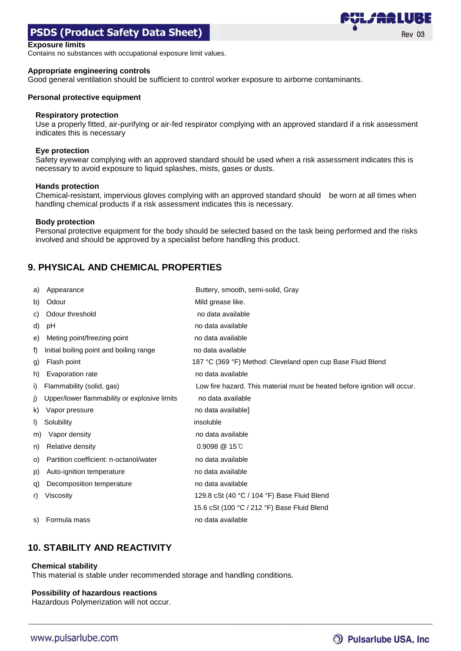#### **Exposure limits**

Contains no substances with occupational exposure limit values.

#### **Appropriate engineering controls**

Good general ventilation should be sufficient to control worker exposure to airborne contaminants.

#### **Personal protective equipment**

#### **Respiratory protection**

Use a properly fitted, air-purifying or air-fed respirator complying with an approved standard if a risk assessment indicates this is necessary

#### **Eye protection**

Safety eyewear complying with an approved standard should be used when a risk assessment indicates this is necessary to avoid exposure to liquid splashes, mists, gases or dusts.

#### **Hands protection**

Chemical-resistant, impervious gloves complying with an approved standard should be worn at all times when handling chemical products if a risk assessment indicates this is necessary.

#### **Body protection**

Personal protective equipment for the body should be selected based on the task being performed and the risks involved and should be approved by a specialist before handling this product.

# **9. PHYSICAL AND CHEMICAL PROPERTIES**

| a) | Appearance                                   | Buttery, smooth, semi-solid, Gray                                         |
|----|----------------------------------------------|---------------------------------------------------------------------------|
| b) | Odour                                        | Mild grease like.                                                         |
| C) | Odour threshold                              | no data available                                                         |
| d) | pH                                           | no data available                                                         |
| e) | Meting point/freezing point                  | no data available                                                         |
| f) | Initial boiling point and boiling range      | no data available                                                         |
| g) | Flash point                                  | 187 °C (369 °F) Method: Cleveland open cup Base Fluid Blend               |
| h) | Evaporation rate                             | no data available                                                         |
| i) | Flammability (solid, gas)                    | Low fire hazard. This material must be heated before ignition will occur. |
| j) | Upper/lower flammability or explosive limits | no data available                                                         |
| k) | Vapor pressure                               | no data available]                                                        |
| I) | Solubility                                   | insoluble                                                                 |
| m) | Vapor density                                | no data available                                                         |
| n) | Relative density                             | $0.9098 \ @ 15^{\circ}$                                                   |
| O) | Partition coefficient: n-octanol/water       | no data available                                                         |
| p) | Auto-ignition temperature                    | no data available                                                         |
| q) | Decomposition temperature                    | no data available                                                         |
| r) | Viscosity                                    | 129.8 cSt (40 °C / 104 °F) Base Fluid Blend                               |
|    |                                              | 15.6 cSt (100 °C / 212 °F) Base Fluid Blend                               |
| S) | Formula mass                                 | no data available                                                         |

# **10. STABILITY AND REACTIVITY**

#### **Chemical stability**

This material is stable under recommended storage and handling conditions.

#### **Possibility of hazardous reactions**

Hazardous Polymerization will not occur.

Rev 03

*VLJ'ARL*UBE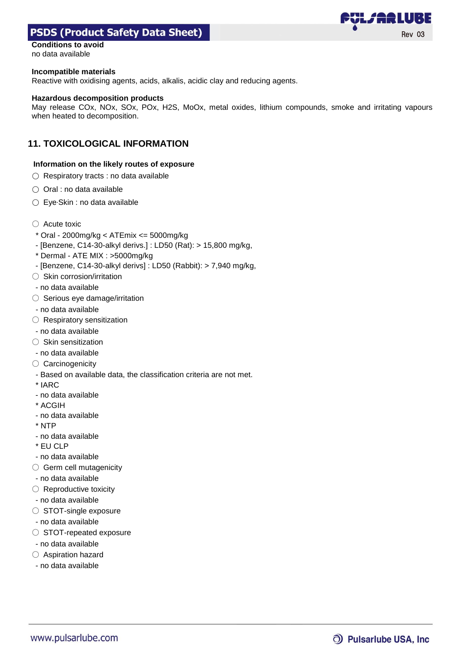

# **Conditions to avoid**

no data available

#### **Incompatible materials**

Reactive with oxidising agents, acids, alkalis, acidic clay and reducing agents.

#### **Hazardous decomposition products**

May release COx, NOx, SOx, POx, H2S, MoOx, metal oxides, lithium compounds, smoke and irritating vapours when heated to decomposition.

### **11. TOXICOLOGICAL INFORMATION**

#### **Information on the likely routes of exposure**

- Respiratory tracts : no data available
- Oral : no data available
- Eye·Skin : no data available
- Acute toxic
- \* Oral 2000mg/kg < ATEmix <= 5000mg/kg
- [Benzene, C14-30-alkyl derivs.] : LD50 (Rat): > 15,800 mg/kg,
- \* Dermal ATE MIX : >5000mg/kg
- [Benzene, C14-30-alkyl derivs] : LD50 (Rabbit): > 7,940 mg/kg,
- Skin corrosion/irritation
- no data available
- Serious eye damage/irritation
- no data available
- Respiratory sensitization
- no data available
- Skin sensitization
- no data available
- Carcinogenicity
- Based on available data, the classification criteria are not met.
- \* IARC
- no data available
- \* ACGIH
- no data available
- \* NTP
- no data available
- \* EU CLP
- no data available
- Germ cell mutagenicity
- no data available
- $\bigcirc$  Reproductive toxicity
- no data available
- STOT-single exposure
- no data available
- STOT-repeated exposure
- no data available
- Aspiration hazard
- no data available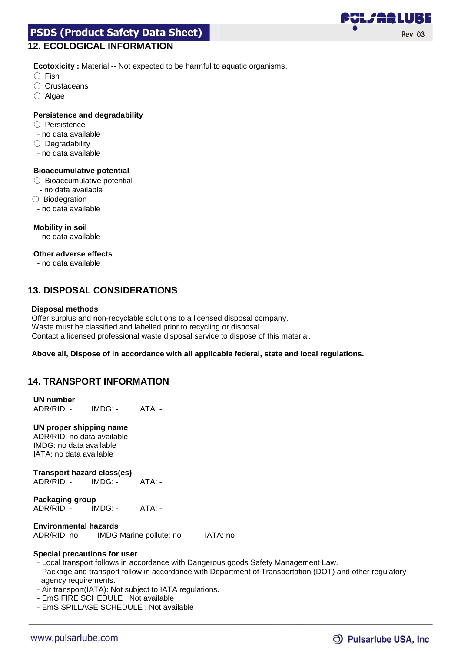# **12. ECOLOGICAL INFORMATION**

**Ecotoxicity :** Material -- Not expected to be harmful to aquatic organisms.

- Fish
- Crustaceans
- Algae

### **Persistence and degradability**

- Persistence
- no data available
- Degradability
- no data available

### **Bioaccumulative potential**

- Bioaccumulative potential
- no data available
- Biodegration
- no data available

### **Mobility in soil**

- no data available

### **Other adverse effects**

- no data available

# **13. DISPOSAL CONSIDERATIONS**

### **Disposal methods**

Offer surplus and non-recyclable solutions to a licensed disposal company. Waste must be classified and labelled prior to recycling or disposal. Contact a licensed professional waste disposal service to dispose of this material.

### **Above all, Dispose of in accordance with all applicable federal, state and local regulations.**

# **14. TRANSPORT INFORMATION**

### **UN number** ADR/RID: - IMDG: - IATA: -

### **UN proper shipping name**

ADR/RID: no data available IMDG: no data available IATA: no data available

#### **Transport hazard class(es)** ADR/RID: - IMDG: - IATA: -

#### **Packaging group** ADR/RID: - IMDG: - IATA: -

# **Environmental hazards**

ADR/RID: no IMDG Marine pollute: no IATA: no

### **Special precautions for user**

- Local transport follows in accordance with Dangerous goods Safety Management Law.
- Package and transport follow in accordance with Department of Transportation (DOT) and other regulatory agency requirements.
- Air transport(IATA): Not subject to IATA regulations.
- EmS FIRE SCHEDULE : Not available
- EmS SPILLAGE SCHEDULE : Not available

# O) Pulsarlube USA, Inc.